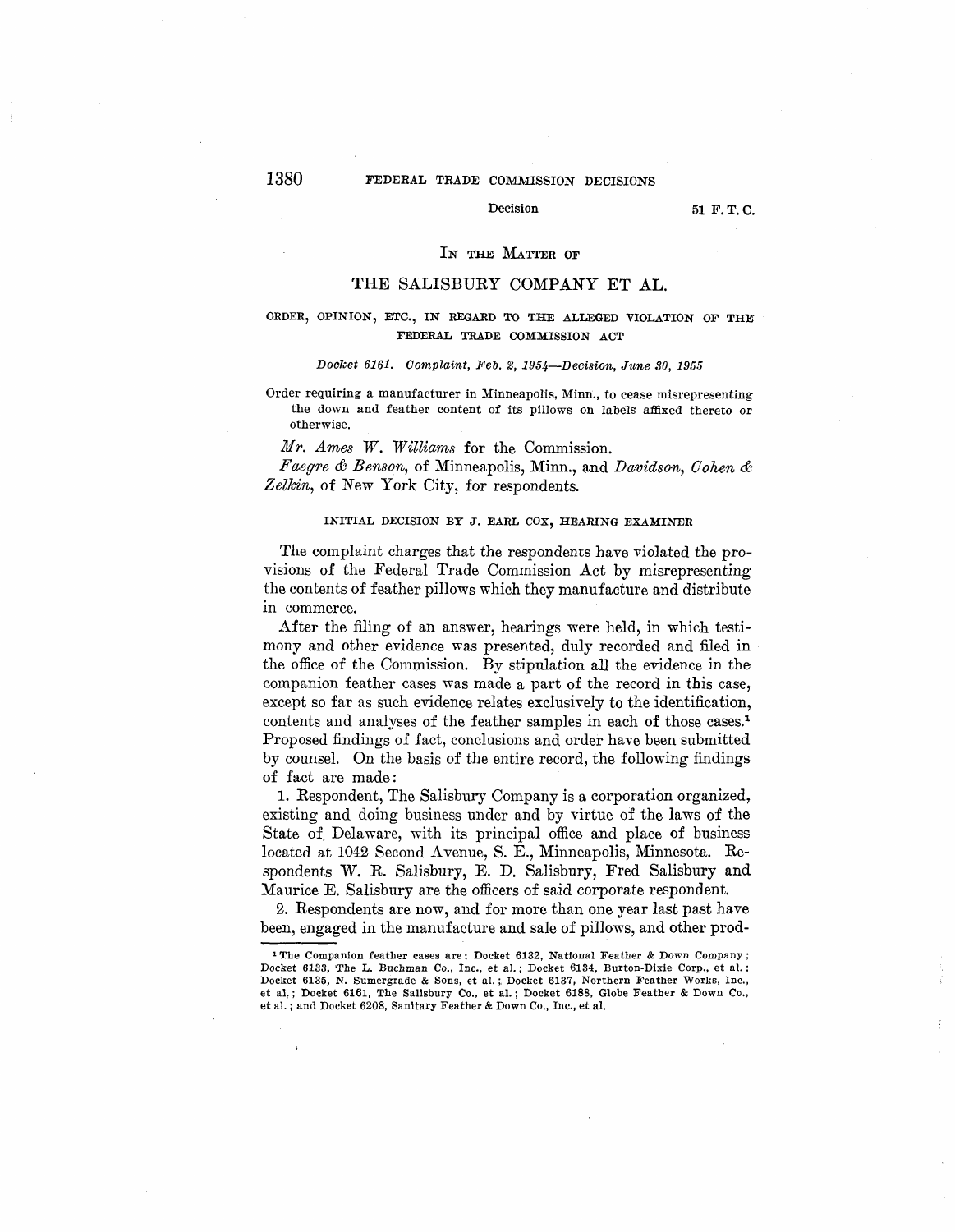# 1380 FEDERAL TRADE COMMISSION DECISIONS

#### Decision 51 F.T.C.

#### IN THE MATTER OF

## THE SALISBURY COMPANY ET AL.

# ORDER, OPINION, ETC., IN REGARD TO THE ALLEGED VIOLATION OF THE FEDERAL TRADE COMMISSION ACT

#### *Docket 6161. Complaint, Feb. 2, 1954-Decision, June 30, 195,5*

Order requiring a manufacturer in Minneapolis, Minn., to cease misrepresenting the down and feather content of its pillows on labels affixed thereto or otherwise.

*Mr. Ames W. Williams* for the Commission.

*Faegre & Benson,* of Minneapolis, Minn., and *Davidson, Cohen & Zelkin,* of New York City, for respondents.

# **INITIAL DECISION BY J. EARL COX, HEARING EXAMINER**

The complaint charges that the respondents have violated the provisions of the Federal Trade Commission Act by misrepresenting the contents of feather pillows which they manufacture and distribute in commerce.

After the filing of an answer, hearings were held, in which testimony and other evidence was presented, duly recorded and filed in the office of the Commission. By stipulation all the evidence in the companion feather cases was made a part of the record in this case, except so far as such evidence relates exclusively to the identification, contents and analyses of the feather samples in each of those cases.<sup>1</sup> Proposed findings of fact, conclusions and order have been submitted by counsel. On the basis of the entire record, the following findings of fact are made:

1. Respondent, The Salisbury Company is a corporation organized, existing and doing business under and by virtue of the laws of the State of, Delaware, with its principal office and place of business located at 1042 Second Avenue, S. E., Minneapolis, Minnesota. Respondents W. R. Salisbury, E. D. Salisbury, Fred Salisbury and Maurice E. Salisbury are the officers of said corporate respondent.

2. Respondents are now, and for more than one year last past have been, engaged in the manufacture and sale of pillows, and other prod-

<sup>1</sup> The Companion feather cases are: Docket 6182, National Feather & Down Company; Docket 6133, The L. Buchman Co., Inc., et al. ; Docket 6134, Burton-Dixie Corp., et al. ; Docket 6135, N. Sumergrade & Sons, et al.;, Docket 6137, Northern Feather Works, Inc., et al,; Docket 6161, The Salisbury Co., et al.; Docket 6188, Globe Feather & Down Co., et al.; and Docket 6208, Sanitary Feather & Down Co., Inc., et al.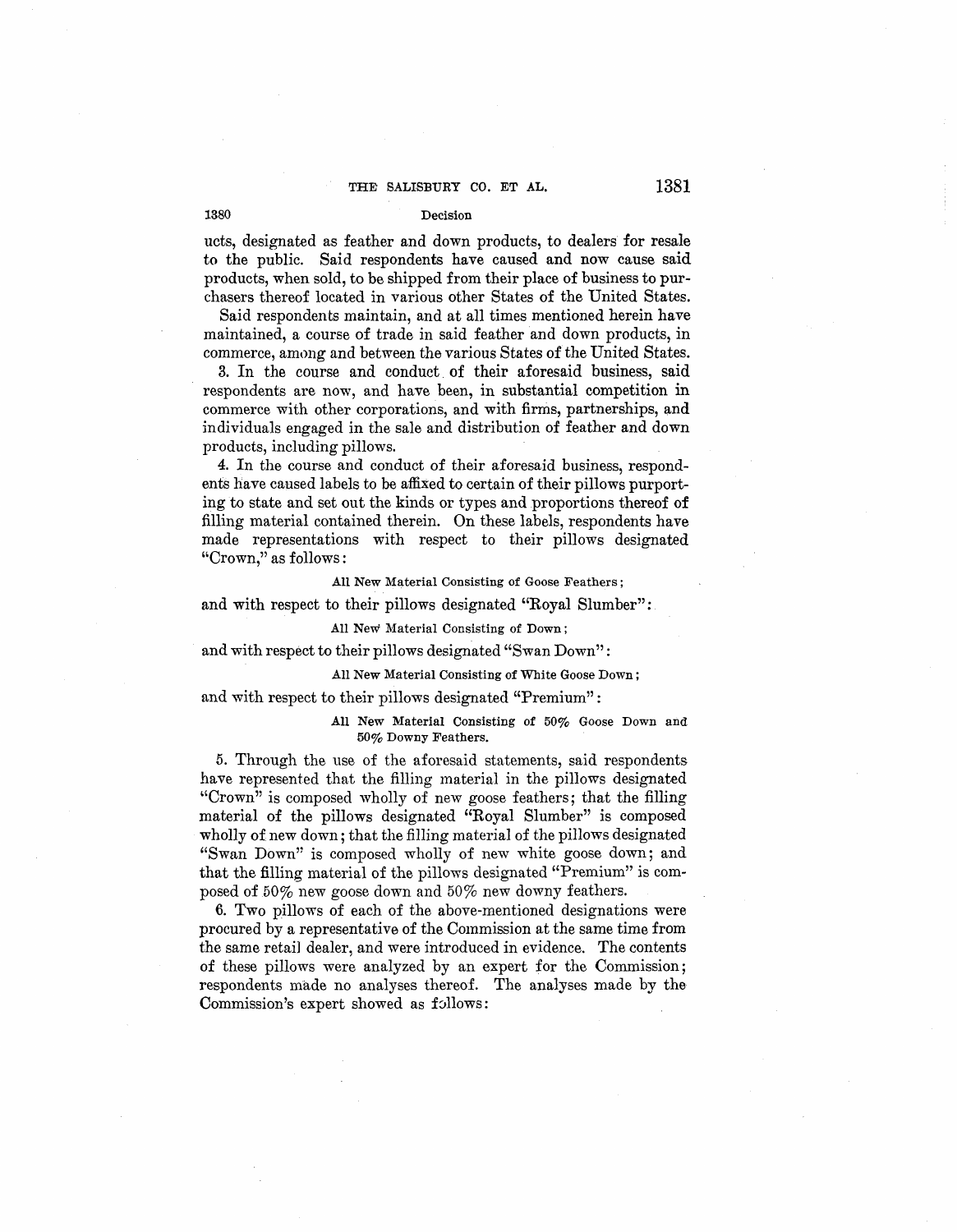ucts, designated as feather and down products, to dealers for resale to the public. Said respondents have caused and now cause said products, when sold, to be shipped from their place of business to purchasers thereof located in various other States of the United States.

Said respondents maintain, and at all times mentioned herein have maintained, a course of trade in said feather and down products, in commerce, among and between the various States of the United States.

3. In the course and conduct. of their aforesaid business, said respondents are now, and have been, in substantial competition in commerce with other corporations, and with firms, partnerships, and individuals engaged in the sale and distribution of feather and down products, including pillows.

4. In the course and conduct of their aforesaid business, respondents have caused labels to be affixed to certain of their pillows purporting to state and set out the kinds or types and proportions thereof of filling material contained therein. On these labels, respondents have made representations with respect to their pillows designated "Crown," as follows:

**All New** Material Consisting of Goose Feathers;

and with respect to their pillows designated "Royal Slumber":

## All New Material Consisting of Down;

and with respect to their pillows designated "Swan Down":

## All New Material Consisting of White Goose Down ;

and with respect to their pillows designated "Premium":

All New Material Consisting of 50% Goose Down and 50% Downy Feathers.

5. Through the use of the aforesaid statements, said respondents have represented that the filling material in the pillows designated 'Crown" is composed wholly of new goose feathers; that the filling material of the pillows designated "Royal Slumber" is composed wholly of new down; that the filling material of the pillows designated "Swan Down" is composed wholly of new white goose down; and that the filling material of the pillows designated "Premium" is composed of 50% new goose down and 50% new downy feathers.

6. Two pillows of each of the above-mentioned designations were procured by a representative of the Commission at the same time from the same retail dealer, and were introduced in evidence. The contents of these pillows were analyzed by an expert for the Commission; respondents made no analyses thereof. The analyses made by the Commission's expert showed as follows: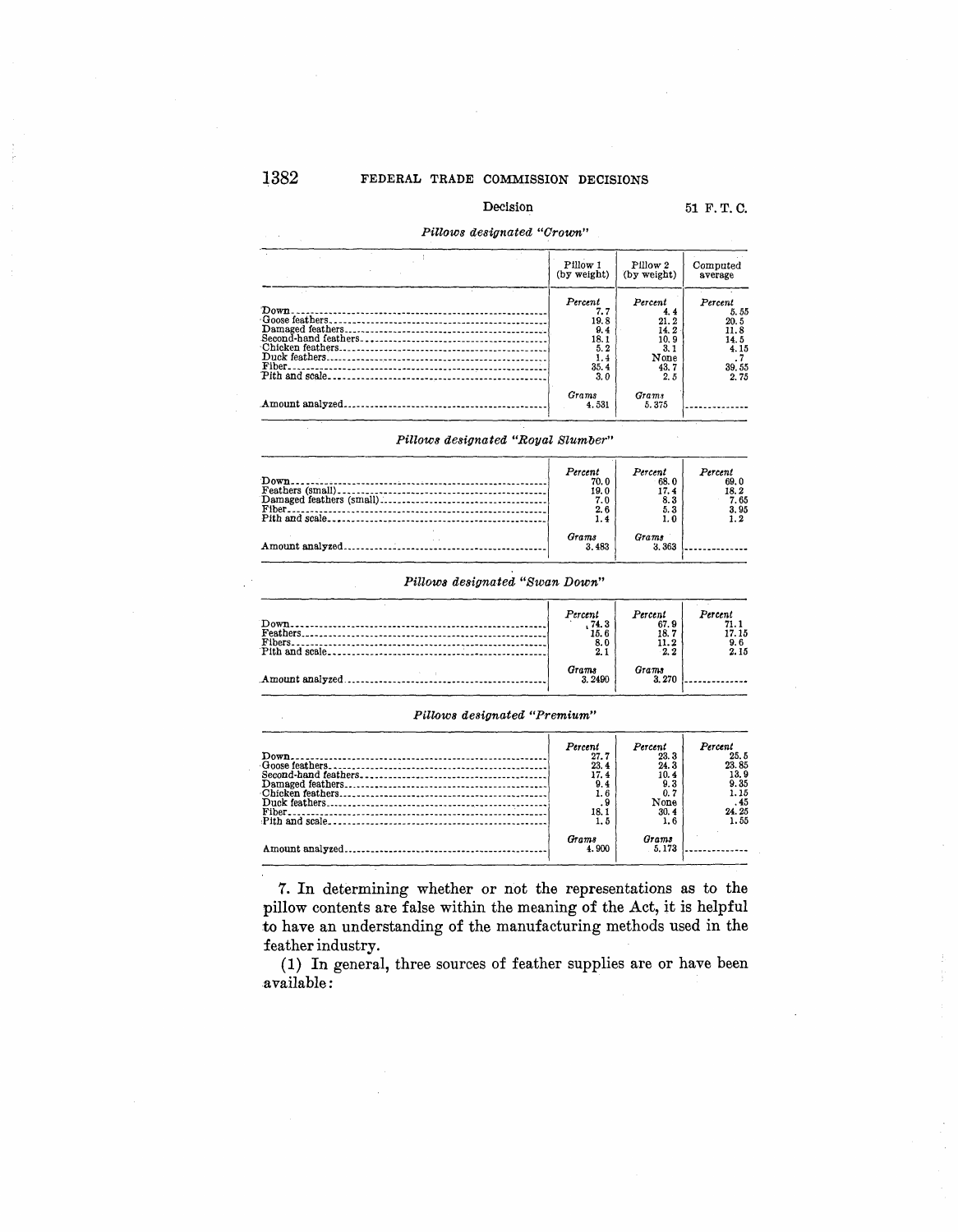# Decision 51 F. T. C.

## *Pillows designated "Crown"*

|                                                       | Pillow 1                                                            | Pillow 2                                                             | Computed                                                         |
|-------------------------------------------------------|---------------------------------------------------------------------|----------------------------------------------------------------------|------------------------------------------------------------------|
|                                                       | (by weight)                                                         | (by weight)                                                          | average                                                          |
| Down.<br>Chicken feathers.<br>Duck feathers<br>Fiber. | Percent<br>7. 7<br>19.8<br>9.4<br>18.1<br>5.2<br>1.4<br>35.4<br>3.0 | Percent<br>4.4<br>21.2<br>14.2<br>10.9<br>3.1<br>None<br>43.7<br>2.5 | Percent<br>5.55<br>20.5<br>11.8<br>14.5<br>4.15<br>39.55<br>2.75 |
| Amount analyzed.                                      | Grams                                                               | <b>Grams</b>                                                         |                                                                  |
| ------------------------------------                  | 4.531                                                               | 5.375                                                                |                                                                  |

Pillows designated "Royal Slumber"

| Percent<br>70.0<br>19.0<br>7.0<br>2.6<br>1.4 | Percent<br>68.0<br>17.4<br>8.3<br>5.3<br>1. 0 | Percent<br>69.0<br>18.2<br>7.65<br>3.95 |
|----------------------------------------------|-----------------------------------------------|-----------------------------------------|
| Grams<br>3.483                               | Grams<br>3.363                                |                                         |

# *Pillows designated "Swan Down"*

| $Pith$ and scale | Percent<br>.74.3<br>15.6<br>8.0<br>2.1 | Percent<br>67.9<br>18.7<br>11.2<br>2.2 | Percent<br>71.1<br>17.15<br>9.6<br>2.15 |
|------------------|----------------------------------------|----------------------------------------|-----------------------------------------|
|                  | Grams<br>3.2490                        | Grams<br>3.270                         |                                         |

#### *Pillows designated "Premium"*

| Percent<br>27.7<br>23.4<br>17.4<br>9.4<br>1.6<br>. 9<br>18.1<br>1.5 | Percent<br>23.3<br>24.3<br>10.4<br>9. 3<br>0.7<br>None<br>30.4<br>1.6 | Percent<br>25.5<br>23.85<br>13.9<br>9.35<br>1.15<br>.45<br>24.25<br>1.55 |
|---------------------------------------------------------------------|-----------------------------------------------------------------------|--------------------------------------------------------------------------|
| Grams<br>4.900                                                      | Grams<br>5.173                                                        |                                                                          |

*7.* In determining whether or not the representations as to the pillow contents are false within the meaning of the Act, it is helpful to have an understanding of the manufacturing methods used in the feather industry.

(1) In general, three sources of feather supplies are or have been available: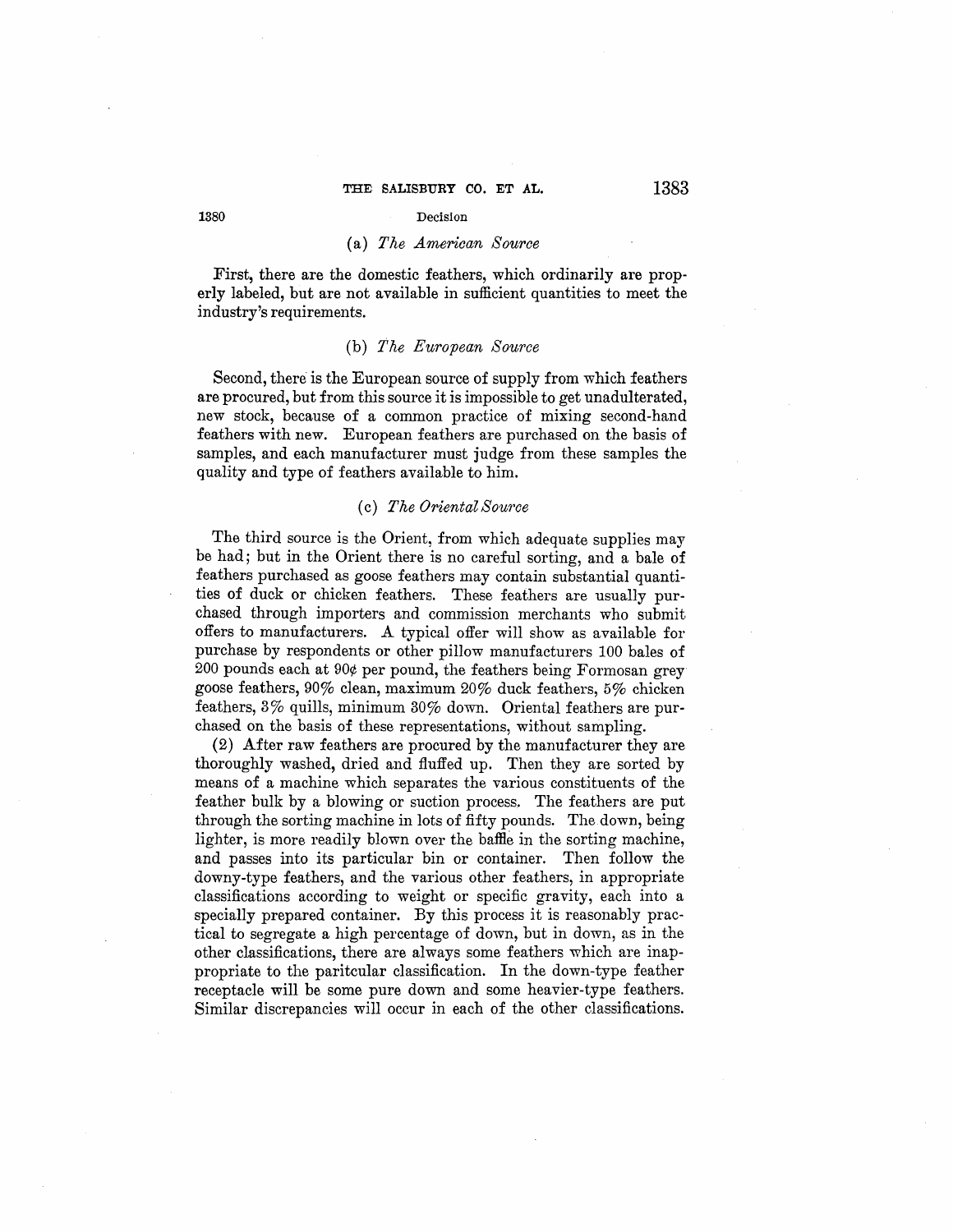## (a) *The American Source*

First, there are the domestic feathers, which ordinarily are properly labeled, but are not available in sufficient quantities to meet the industry's requirements.

## (b) *The European Source*

Second, there is the European source of supply from which feathers are procured, but from this source it is impossible to get unadulterated, new stock, because of a common practice of mixing second-hand feathers with new. European feathers are purchased on the basis of samples, and each manufacturer must judge from these samples the quality and type of feathers available to him.

## (c) *The Oriental Source*

The third source is the Orient, from which adequate supplies may be had; but in the Orient there is no careful sorting, and a bale of feathers purchased as goose feathers may contain substantial quantities of duck or chicken feathers. These feathers are usually purchased through importers and commission merchants who submit offers to manufacturers. A typical offer will show as available for purchase by respondents or other pillow manufacturers 100 bales of 200 pounds each at 90¢ per pound, the feathers being Formosan grey goose feathers, 90% clean, maximum 20% duck feathers, 5% chicken feathers, 3% quills, minimum 30% down. Oriental feathers are purchased on the basis of these representations, without sampling.

 $(2)$  After raw feathers are procured by the manufacturer they are thoroughly washed, dried and fluffed up. Then they are sorted by means of a machine which separates the various constituents of the feather bulk by a blowing or suction process. The feathers are put through the sorting machine in lots of fifty pounds. The down, being lighter, is more readily blown over the baffie in the sorting machine, and passes into its particular bin or container. Then follow the downy-type feathers, and the various other feathers, in appropriate classifications according to weight or specific gravity, each into a specially prepared container. By this process it is reasonably practical to segregate a high percentage of down, but in down, as in the other classifications, there are always some feathers which are inappropriate to the paritcular classification. In the down-type feather receptacle will be some pure down and some heavier-type feathers. Similar discrepancies will occur in each of the other classifications.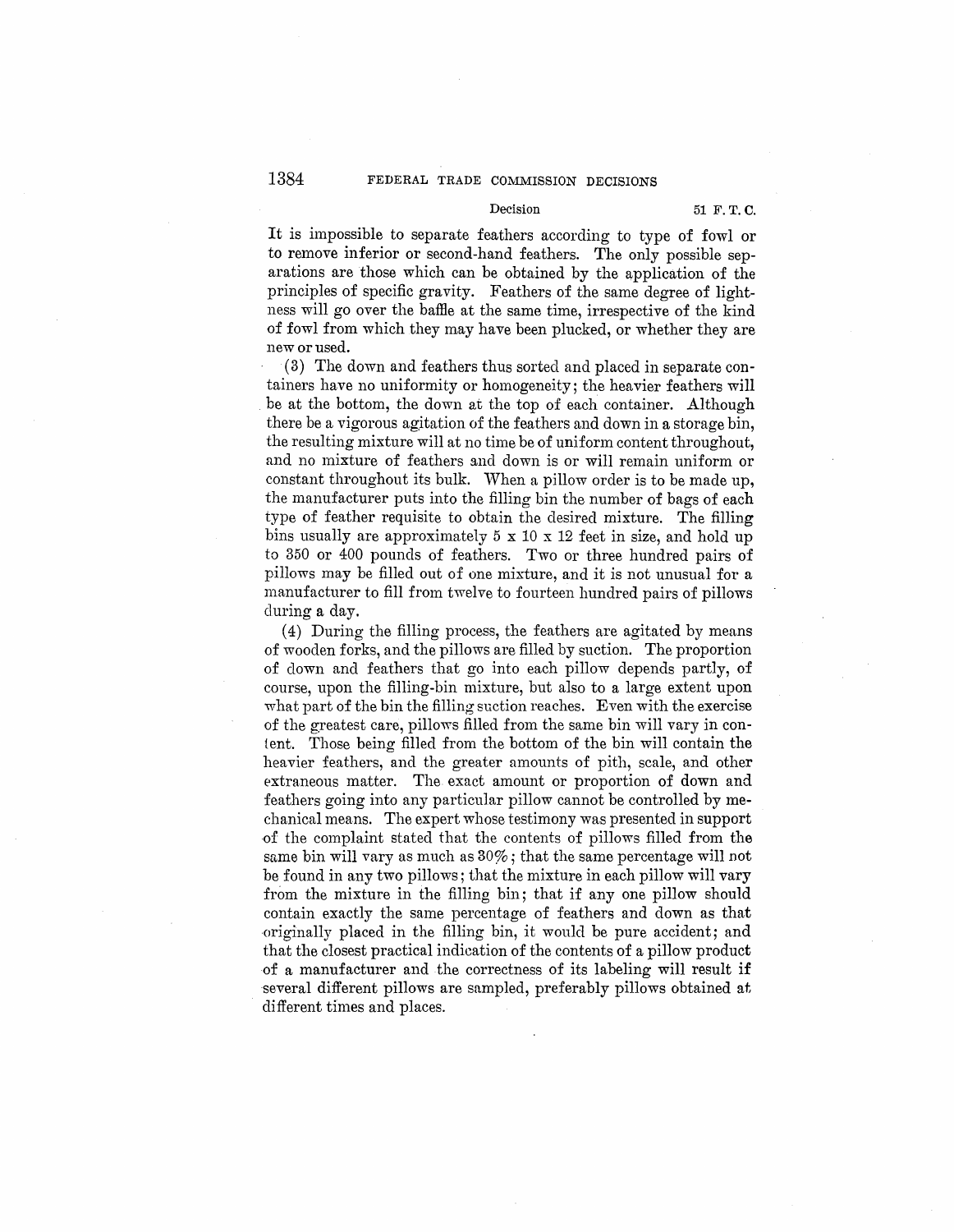#### Decision 51 F. T. C.

It is impossible to separate feathers according to type of fowl or to remove inferior or second-hand feathers. The only possible separations are those which can be obtained by the application of the principles of specific gravity. Feathers of the same degree of lightness will go over the baffie at the same time, irrespective of the kind of fowl from which they may have been plucked, or whether they are new or used.

(3) The down and feathers thus sorted and placed in separate containers have no uniformity or homogeneity; the heavier feathers will . be at the bottom, the down at the top of each container. Although there be a vigorous agitation of the feathers and down in a storage bin, the resulting mixture will at no time be of uniform content throughout, and no mixture of feathers and down is or will remain uniform or constant throughout its bulk. When a pillow order is to be made up, the manufacturer puts into the filling bin the number of bags of each type of feather requisite to obtain the desired mixture. The filling bins usually are approximately 5 x 10 x 12 feet in size, and hold up *to* 350 or 400 pounds of feathers. Two or three hundred pairs of pillows may be filled out of one mixture, and it is not unusual for a manufacturer to fill from twelve to fourteen hundred pairs of pillows during a day.

(4) During the filling process, the feathers are agitated by means of wooden forks, and the pillows are filled by suction. The proportion of down and feathers that go into each pillow depends partly, of course, upon the filling-bin mixture, but also to a large extent upon what part of the bin the filling suction reaches. Even with the exercise of the greatest care, pillows filled from the same bin will vary in con-1ent. Those being filled from the bottom of the bin will contain the heavier feathers, and the greater amounts of pith, scale, and other extraneous matter. The exact amount or proportion of down and feathers going into any particular pillow cannot be controlled by mechanical means. The expert whose testimony was presented in support of the complaint stated that the contents of pillows filled from the same bin will vary as much as 30%; that the same percentage will not be found in any two pillows; that the mixture in each pillow will vary from the mixture in the filling bin; that if any one pillow should contain exactly the same percentage of feathers and down as that originally placed in the filling bin, it would be pure accident; and that the closest practical indication of the contents of a pillow product of a manufacturer and the correctness of its labeling will result if several different pillows are sampled, preferably pillows obtained at different times and places.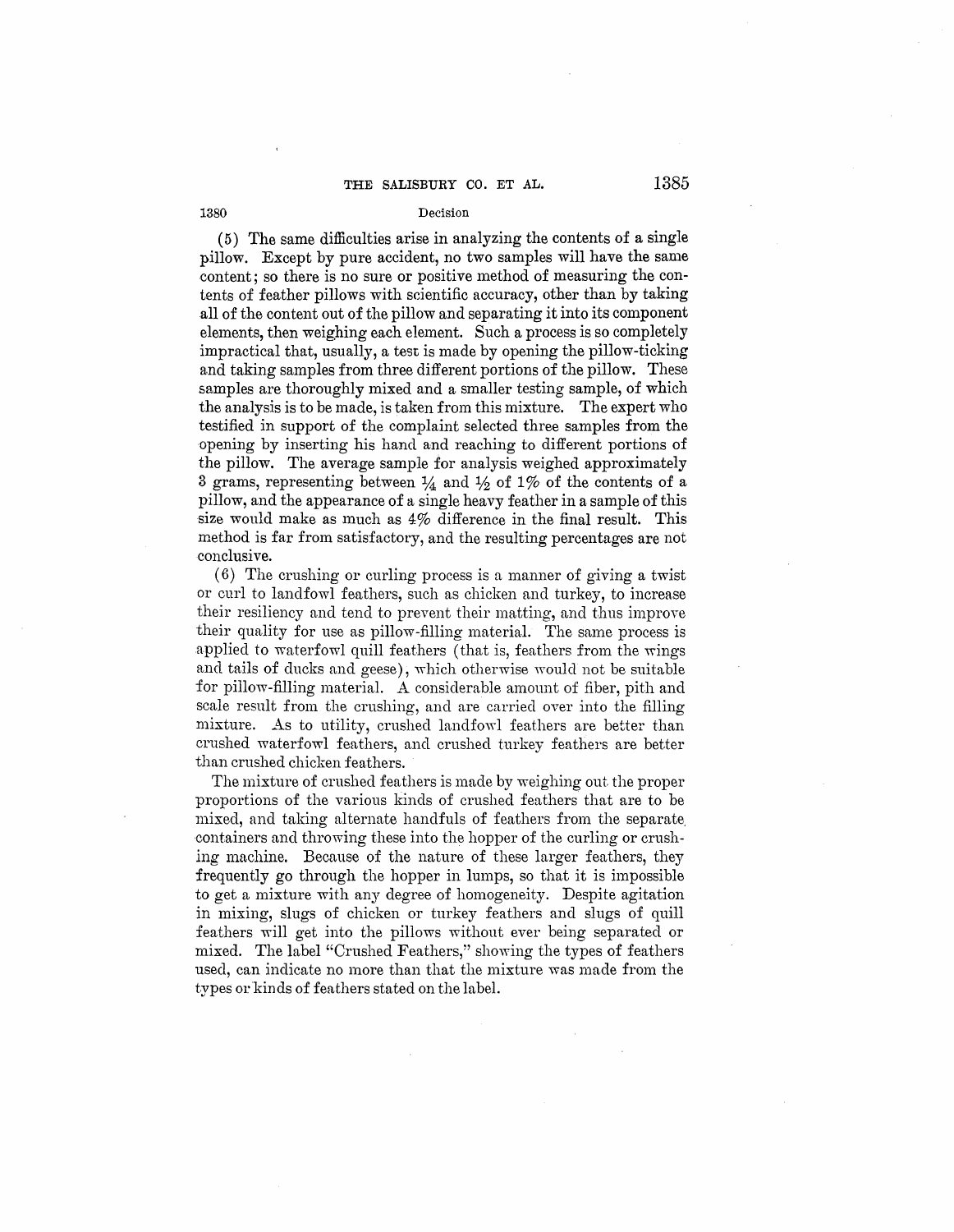(5) The same difficulties arise in analyzing the contents of a single pillow. Except by pure accident, no two samples will have the same content; so there is no sure or positive method of measuring the contents of feather pillows with scientific accuracy, other than by taking all of the content out of the pillow and separating it into its component elements, then weighing each element. Such a process is so completely impractical that, usually, a test is made by opening the pillow-ticking and taking samples from three different portions of the pillow. These samples are thoroughly mixed and a smaller testing sample, of which the analysis is to be made, is taken from this mixture. The expert who testified in support of the complaint selected three samples from the opening by inserting his hand and reaching to different portions of the pillow. The average sample for analysis weighed approximately 3 grams, representing between  $\frac{1}{4}$  and  $\frac{1}{2}$  of 1% of the contents of a pillow, and the appearance of a single heavy feather in a sample of this size would make as much as 4% difference in the final result. This method is far from satisfactory, and the resulting percentages are not conclusive.

(6) The crushing or curling process is a manner of giving a twist or curl to landfowl feathers, such as chicken and turkey, to increase their resiliency and tend to prevent their matting, and thus improve their quality for use as pillow-filling material. The same process is applied to waterfowl quill feathers (that is, feathers from the wings and tails of ducks and geese), which otherwise would not be suitable for pillow-filling material. A considerable amount of fiber, pith and scale result from the crushing, and are carried over into the filling mixture. As to utility, crushed landfowl feathers are better than crushed waterfowl feathers, and crushed turkey feathers are better than crushed chicken feathers.

The mixture of crushed feathers is made by weighing out the proper proportions of the various kinds of crushed feathers that are to be mixed, and taking alternate handfuls of feathers from the separate. -containers and throwing these into the hopper of the curling or crushing machine. Because of the nature of these larger feathers, they frequently go through the hopper in lumps, so that it is impossible to get a mixture with any degree of homogeneity. Despite agitation in mixing, slugs of chicken or turkey feathers and slugs of quill feathers will get into the pillows without ever being separated or mixed. The label "Crushed Feathers," showing the types of feathers used, can indicate no more than that the mixture was made from the types or kinds of feathers stated on the label.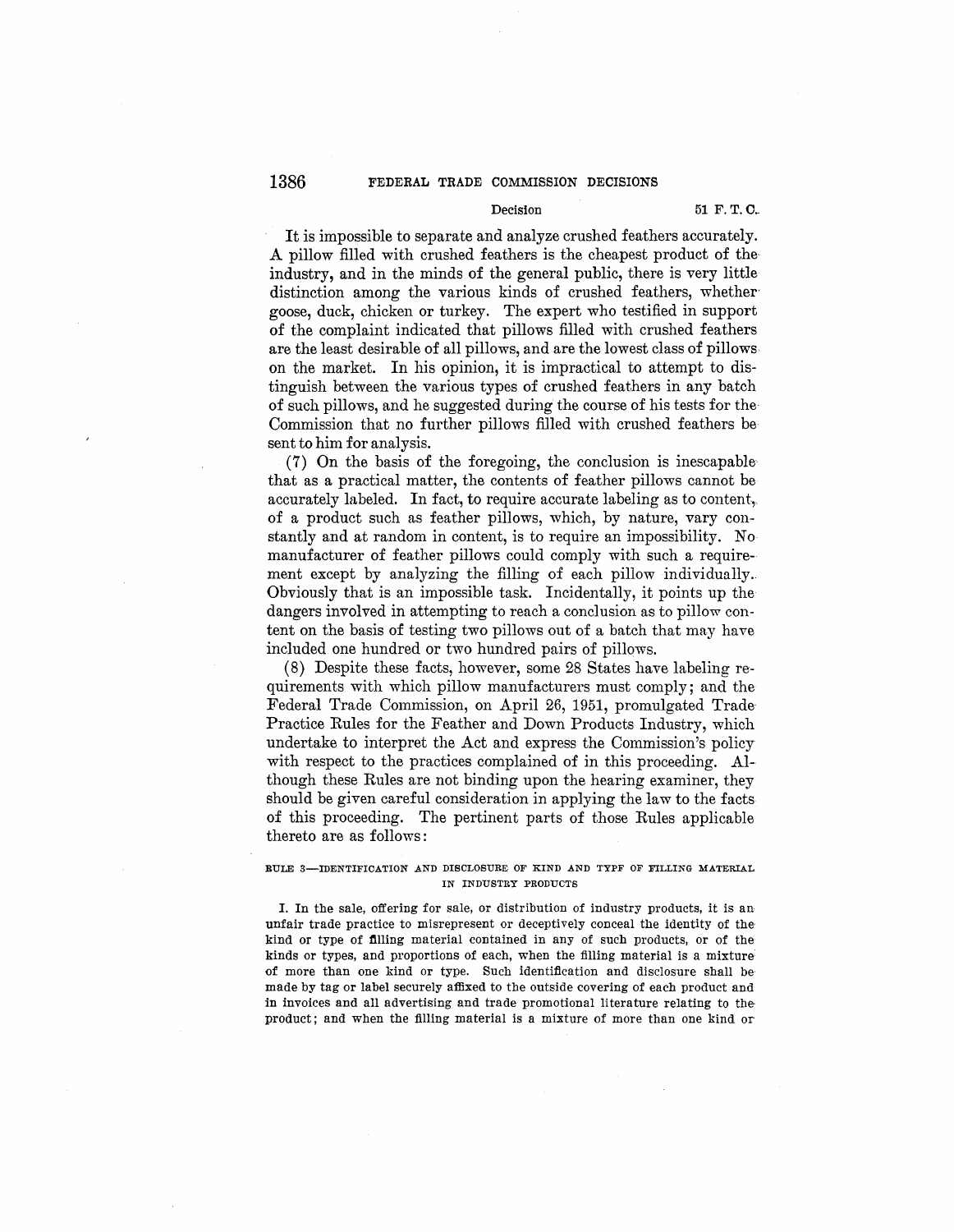#### Decision 51 F. T. C.

It is impossible to separate and analyze crushed feathers accurately. A pillow filled with crushed feathers is the cheapest product of theindustry, and in the minds of the general public, there is very little distinction among the various kinds of crushed feathers, whether goose, duck, chicken or turkey. The expert who testified in support of the complaint indicated that pillows filled with crushed feathers are the least desirable of all pillows, and are the lowest class of pillows. on the market. In his opinion, it is impractical to attempt to distinguish between the various types of crushed feathers in any batch of such pillows, and he suggested during the course of his tests for the· Commission that no further pillows filled with crushed feathers be sent to him for analysis.

(7) On the basis of the foregoing, the conclusion is inescapable· that as a practical matter, the contents of feather pillows cannot be accurately labeled. In fact, to require accurate labeling as to content, of a product such as feather pillows, which, by nature, vary constantly and at random in content, is to require an impossibility. No manufacturer of feather pillows could comply with such a requirement except by analyzing the filling of each pillow individually.. Obviously that is an impossible task. Incidentally, it points up the dangers involved in attempting to reach a conclusion as to pillow content on the basis of testing two pillows out of a batch that may have included one hundred or two hundred pairs of pillows.

(8) Despite these facts, however, some 28 States have labeling requirements with which pillow manufacturers must comply; and the Federal Trade Commission, on April 26, 1951, promulgated Trade· Practice Rules for the Feather and Down Products Industry, which undertake to interpret the Act and express the Commission's policy with respect to the practices complained of in this proceeding. Although these Rules are not binding upon the hearing examiner, they should be given careful consideration in applying the law to the facts of this proceeding. The pertinent parts of those Rules applicable thereto are as follows :

## RULE 3-IDENTIFICATION AND DISCLOSURE OF KIND AND TYPF OF FILLING MATERIAL IN INDUSTRY PRODUCTS

I. In the sale, offering for sale, or distribution of industry products, it is an unfair trade practice to misrepresent or deceptively conceal the identity of the kind or type of filling material contained in any of such products, or of the kinds or types, and proportions of each, when the filling material is a mixture of more than one kind or type. Such identification and disclosure shall be made by tag or label securely affixed to the outside covering of each product and in invoices and all advertising and trade promotional literature relating to the product; and when the filling material is a mixture of more than one kind or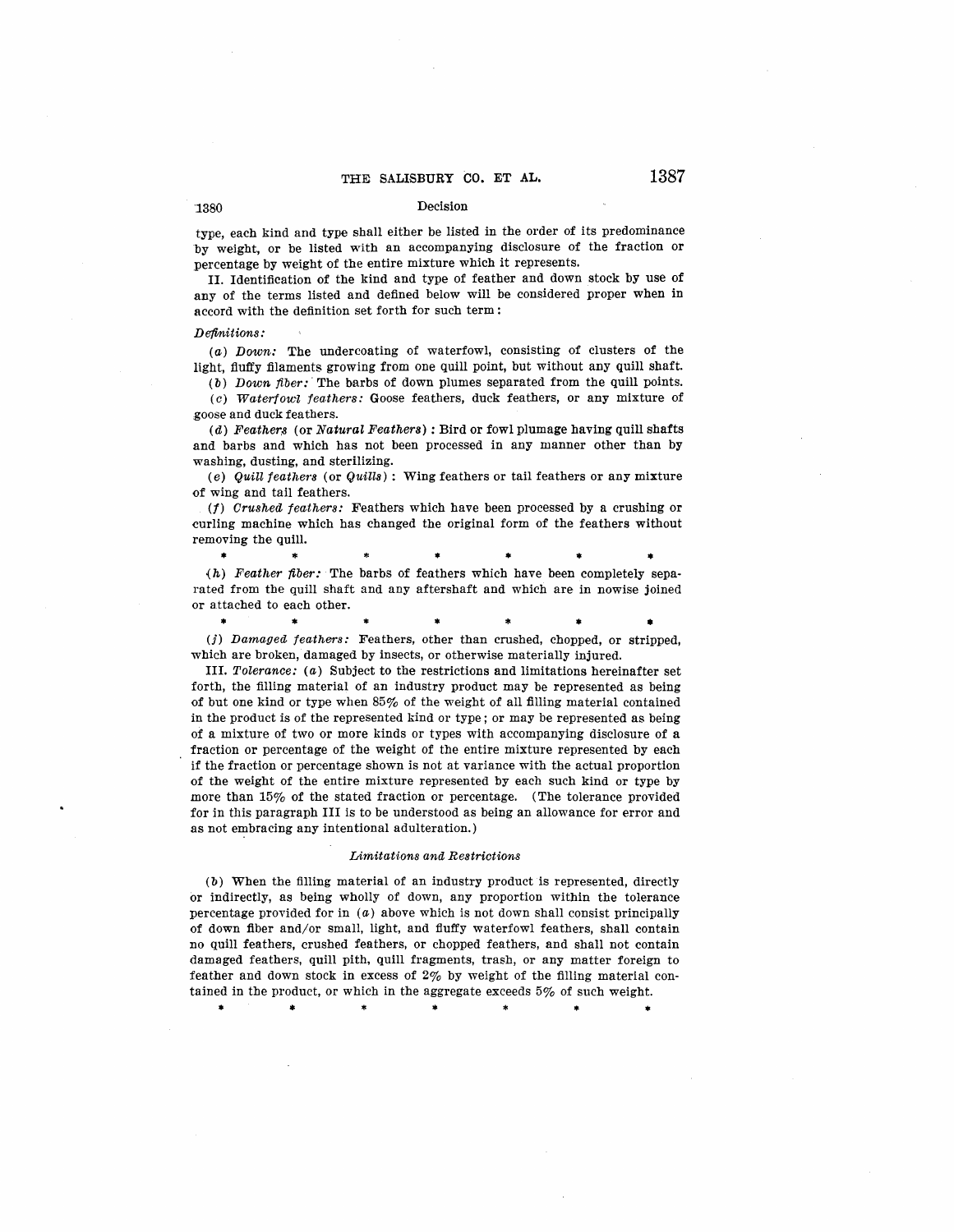## "1380 Decision

type, each kind and type shall either be listed in the order of its predominance by weight, or be listed with an accompanying disclosure of the fraction or percentage by weight of the entire mixture which it represents.

II. Identification of the kind and type of feather and down stock by use of any of the terms listed and defined below will be considered proper when in accord with the definition set forth for such term:

#### Definitions:

(a) Down: The undercoating of waterfowl, consisting of clusters of the light, fluffy filaments growing from one quill point, but without any quill shaft.

(b) Down fiber: The barbs of down plumes separated from the quill points.

(c) Waterfowl feathers: Goose feathers, duck feathers, or any mixture of goose and duck feathers.

(d) Feathers (or Natural Feathers): Bird or fowl plumage having quill shafts and barbs and which has not been processed in any manner other than by washing, dusting, and sterilizing.

(e) Quill feathers (or Quills): Wing feathers or tail feathers or any mixture of wing and tail feathers.

(1) Crushed feathers: Feathers which have been processed by a crushing or curling machine which has changed the original form of the feathers without removing the quill.

• \* \* • \* • •  $(h)$  Feather fiber: The barbs of feathers which have been completely separated from the quill shaft and any aftershaft and which are in nowise joined or attached to each other.

\* \* \* \* \* • • (j) Damaged feathers: Feathers, other than crushed, chopped, or stripped,

which are broken, damaged by insects, or otherwise materially injured.

III. Tolerance: (a) Subject to the restrictions and limitations hereinafter set forth, the filling material of an industry product may be represented as being of but one kind or type when 85% of the weight of all filling material contained in the product is of the represented kind or type; or may be represented as being of a mixture of two or more kinds or types with accompanying disclosure of a fraction or percentage of the weight of the entire mixture represented by each if the fraction or percentage shown is not at variance with the actual proportion of the weight of the entire mixture represented by each such kind or type by more than 15% of the stated fraction or percentage. (The tolerance provided for in this paragraph III is to be understood as being an allowance for error and as not embracing any intentional adulteration.)

#### Limitations and Restrictions

(b) When the filling material of an industry product is represented, directly or indirectly, as being wholly of down, any proportion within the tolerance percentage provided for in  $(a)$  above which is not down shall consist principally of down fiber and/or small, light, and fluffy waterfowl feathers, shall contain no quill feathers, crushed feathers, or chopped feathers, and shall not contain damaged feathers, quill pith, quill fragments, trash, or any matter foreign to feather and down stock **in** excess of 2% by weight of the filling material contained in the product, or which in the aggregate exceeds 5% of such weight.

\* \* \* \* • •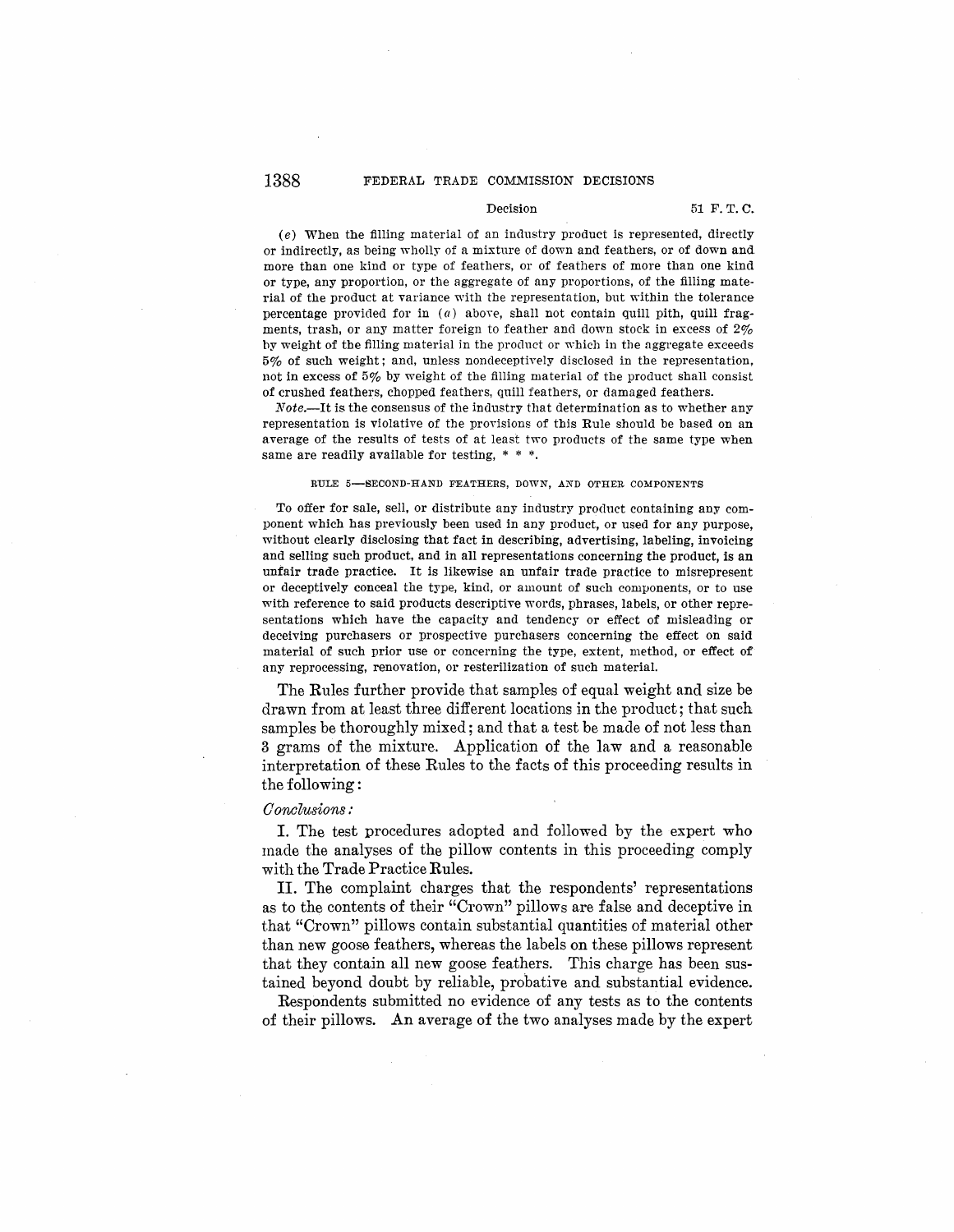## 1388 FEDERAL TRADE COMMISSION DECISIONS

#### Decision 51 F. T. C.

 $(e)$  When the filling material of an industry product is represented, directly or indirectly, as being wholly of a mixture of down and feathers, or of down and more than one kind or type of feathers, or of feathers of more than one kind or type, any proportion, or the aggregate of any proportions, of the filling material of the product at variance with the representation, but within the tolerance percentage provided for in  $(a)$  above, shall not contain quill pith, quill fragments, trash, or any matter foreign to feather and down stock in excess of 2% by weight of the filling material in the product or which in the aggregate exceeds 5% of such weight; and, unless noncleceptively disclosed in the representation, not in excess of  $5\%$  by weight of the filling material of the product shall consist of crushed feathers, chopped feathers, quill feathers, or damaged feathers.

Note.-It is the consensus of the industry that determination as to whether any representation is violative of the provisions of this Rule should be based on an average of the results of tests of at least two products of the same type when same are readily available for testing, \* \* \*.

#### RULE 5-SECOND-HAND FEATHERS, DOWN, AND OTHER COMPONENTS

To offer for sale, sell, or distribute any industry product containing any component which has previously been used in any product, or used for any purpose, without clearly disclosing that fact in describing, advertising, labeling, invoicing and selling such product, and in all representations concerning the product, is an unfair trade practice. It is likewise an unfair trade practice to misrepresent or deceptively conceal the type, kind, or amount of such components, or to use with reference to said products descriptive words, phrases, labels, or other representations which have the capacity and tendency or effect of misleading or deceiving purchasers or prospective purchasers concerning the effect on said material of such prior use or concerning the type, extent, method, or effect of any reprocessing, renovation, or resterilization of such material.

The Rules further provide that samples of equal weight and size be drawn from at least three different locations in the product; that such samples be thoroughly mixed; and that a test be made of not less than 3 grams of the mixture. Application of the law and a reasonable interpretation of these Rules to the facts of this proceeding results in the following :

#### *0 onclusions :*

I. The test procedures adopted and followed by the expert who made the analyses of the pillow contents in this proceeding comply with the Trade Practice Rules.

II. The complaint charges that the respondents' representations as to the contents of their "Crown" pillows are false and deceptive in that "Crown" pillows contain substantial quantities of material other than new goose feathers, whereas the labels on these pillows represent that they contain all new goose feathers. This charge has been sustained beyond doubt by reliable, probative and substantial evidence.

Respondents submitted no evidence of any tests as to the contents of their pillows. An average of the two analyses made by the expert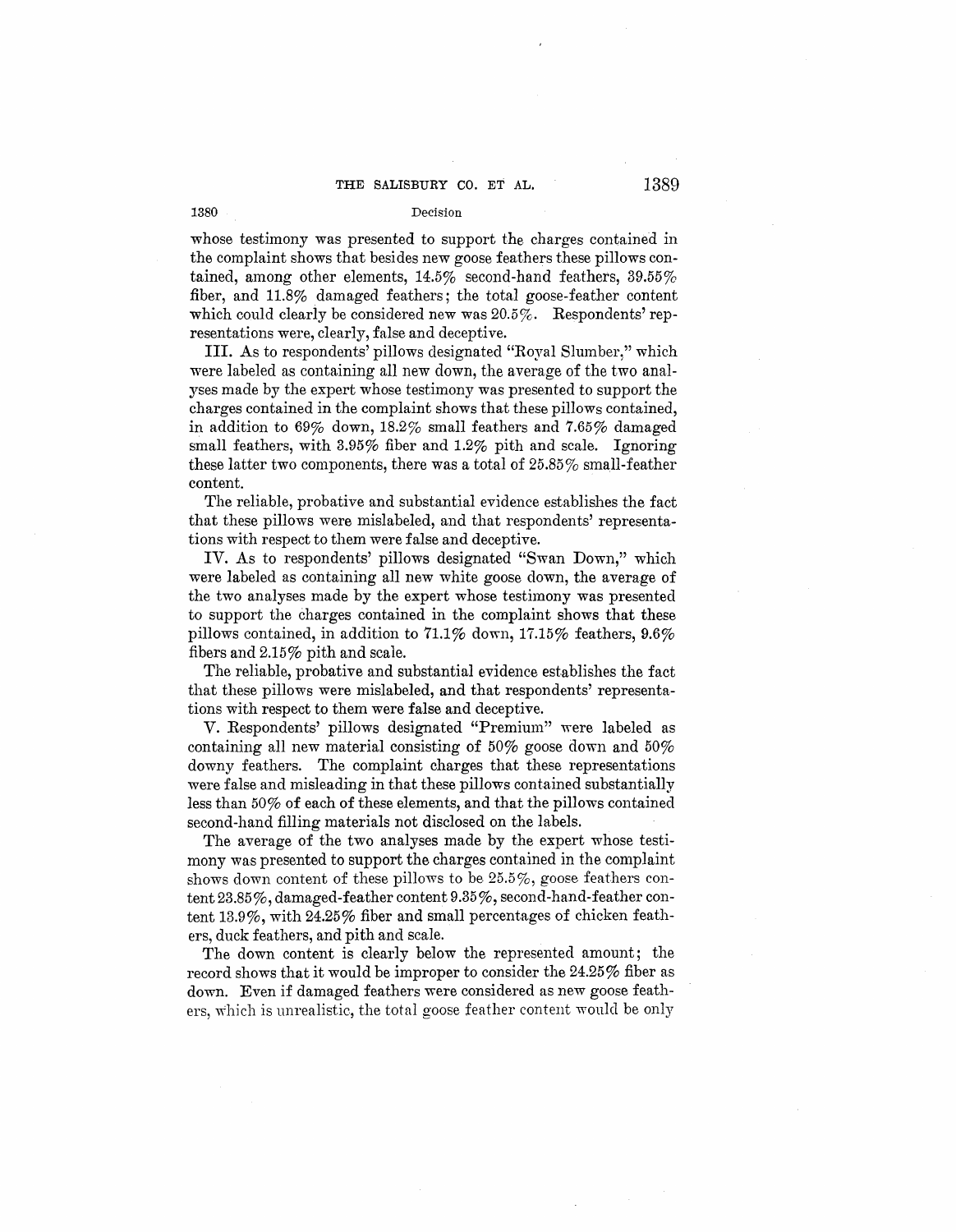whose testimony was presented to support the charges contained in the complaint shows that besides new goose feathers these pillows contained, among other elements, 14.5% second-hand feathers, 39.55% fiber, and  $11.8\%$  damaged feathers; the total goose-feather content which could clearly be considered new was 20.5%. Respondents' representations were, clearly, false and deceptive.

III. As to respondents' pillows designated "Royal Slumber," which were labeled as containing all new down, the average of the two analyses made by the expert whose testimony was presented to support the charges contained in the complaint shows that these pillows contained, in addition to 69% down, 18.2% small feathers and 7.65% damaged small feathers, with 3.95% fiber and 1.2% pith and scale. Ignoring these latter two components, there was a total of  $25.85\%$  small-feather content.

The reliable, probative and substantial evidence establishes the fact that these pillows were mislabeled, and that respondents' representations with respect to them were false and deceptive.

IV. As to respondents' pillows designated "Swan Down," which were labeled as containing all new white goose down, the average of the two analyses made by the expert whose testimony was presented to support the charges contained in the complaint shows that these pillows contained, in addition to  $71.1\%$  down,  $17.15\%$  feathers,  $9.6\%$ fibers and  $2.15\%$  pith and scale.

The reliable, probative and substantial evidence establishes the fact that these pillows were mislabeled, and that respondents' representations with respect to them were false and deceptive.

V. Respondents' pillows designated "Premium" were labeled as containing all new material consisting of 50% goose down and 50% downy feathers. The complaint charges that these representations were false and misleading in that these pillows contained substantially less than  $50\%$  of each of these elements, and that the pillows contained second-hand filling materials not disclosed on the labels.

The average of the two analyses made by the expert whose testimony was presented to support the charges contained in the complaint shows down content of these pillows to be 25.5%, goose feathers content 23.85%, damaged-feather content 9.35%, second-hand-feather content 13.9%, with 24.25% fiber and small percentages of chicken feathers, duck feathers, and pith and scale.

The down content is clearly below the represented amount; the record shows that it would be improper to consider the  $24.25\%$  fiber as down. Even if damaged feathers were considered as new goose feathers, which is unrealistic, the total goose feather content would be only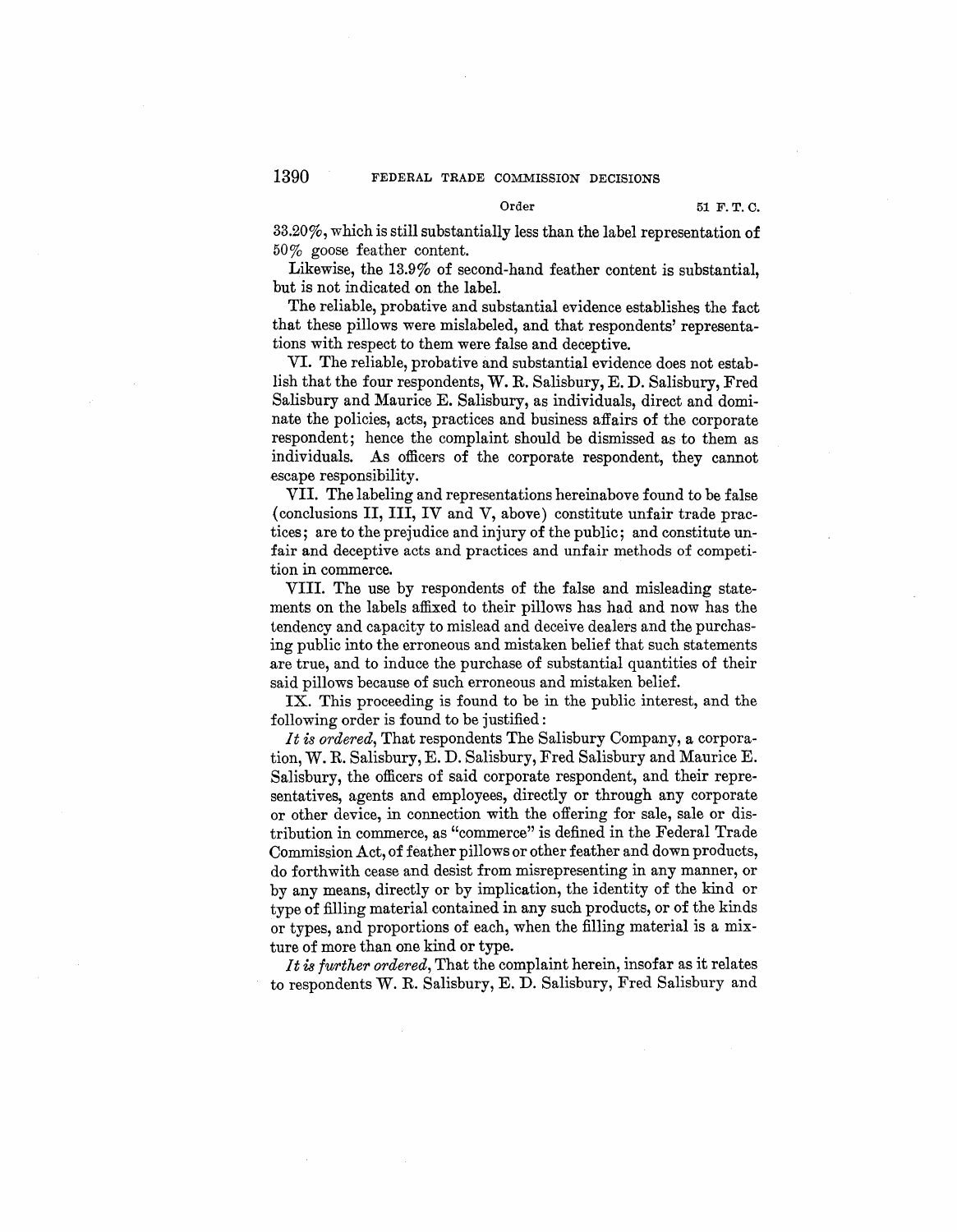33.20%, which is still substantially less than the label representation of 50% goose feather content.

Likewise, the 13.9% of second-hand feather content is substantial, but is not indicated on the label.

The reliable, probative and substantial evidence establishes the fact that these pillows were mislabeled, and that respondents' representations with respect to them were false and deceptive.

VI. The reliable, probative and substantial evidence does not establish that the four respondents, **W.R.** Salisbury, E. D. Salisbury, Fred Salisbury and Maurice E. Salisbury, as individuals, direct and dominate the policies, acts, practices and business affairs of the corporate respondent; hence the complaint should be dismissed as to them as individuals. As officers of the corporate respondent, they cannot escape responsibility.

VII. The labeling and representations hereinabove found to be false ( conclusions II, III, IV and V, above) constitute unfair trade practices; are to the prejudice and injury of the public; and constitute unfair and deceptive acts and practices and unfair methods of competition in commerce.

VIII. The use by respondents of the false and misleading statements on the labels affixed to their pillows has had and now has the tendency and capacity to mislead and deceive dealers and the purchasing public into the erroneous and mistaken belief that such statements are true, and to induce the purchase of substantial quantities of their said pillows because of such erroneous and mistaken belief.

IX. This proceeding is found to be in the public interest, and the following order is found to be justified :

*It is ordered,* That respondents The Salisbury Company, a corporation, W.R. Salisbury, E. D. Salisbury, Fred Salisbury and Maurice E. Salisbury, the officers of said corporate respondent, and their representatives, agents and employees, directly or through any corporate or other device, in connection with the offering for sale, sale or distribution in commerce, as "commerce" is defined in the Federal Trade Commission Act, of feather pillows or other feather and down products, do forthwith cease and desist from misrepresenting in any manner, or by any means, directly or by implication, the identity of the kind or type of filling material contained in any such products, or of the kinds or types, and proportions of each, when the filling material is a mixture of more than one kind or type.

*It is further ordered,* That the complaint herein, insofar as it relates to respondents W.R. Salisbury, E. D. Salisbury, Fred Salisbury and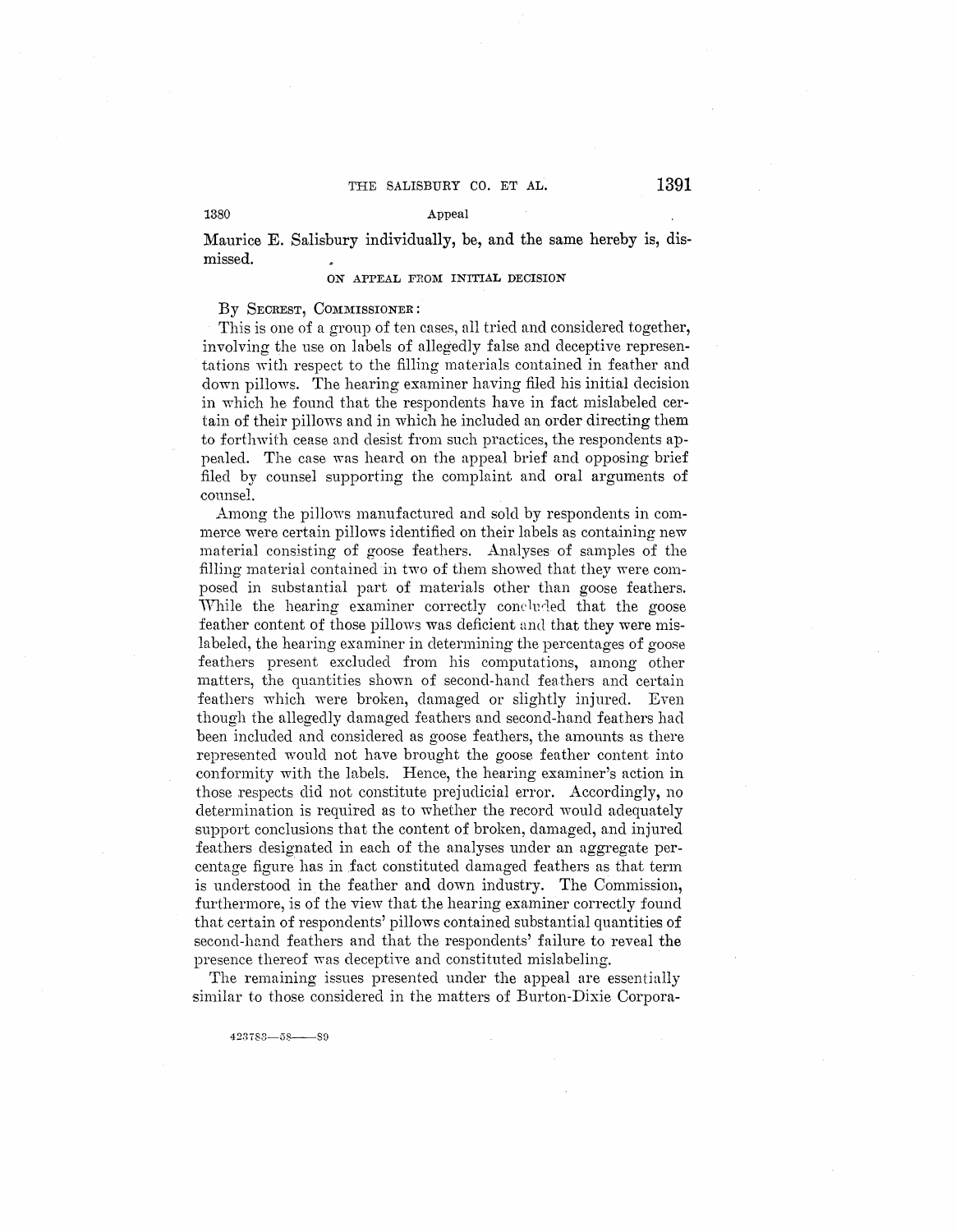## 1380 Appeal

**Maurice E. Salisbury individually, be, and the same hereby is, dis**missed.

## **ON APPEAL FROM INITIAL DECISION**

# By SECREST, COMMISSIONER:

This is one of a group of ten cases, all tried and considered together, involving the use on labels of allegedly false and deceptive representations with respect to the filling materials contained in feather and down pillows. The hearing examiner having filed his initial decision in which he found that the respondents have in fact mislabeled certain of their pillows and in which he included an order directing them to forthwith cease and desist from such practices, the respondents appealed. The case was heard on the appeal brief and opposing brief filed by counsel supporting the complaint and oral arguments of counsel.

Among the pillows manufactured and sold by respondents in commerce were certain pillows identified on their labels as containing new material consisting of goose feathers. Analyses of samples of the filling material contained in two of them showed that they were composed in substantial part of materials other than goose feathers. While the hearing examiner correctly concluded that the goose feather content of those pillows was deficient and that they were mislabeled, the hearing examiner in determining the percentages of goose feathers present excluded from his computations, among other matters, the quantities shown of second-hand feathers and certain feathers which were broken, damaged or slightly injured. Even though the allegedly damaged feathers and second-hand feathers had been included and considered as goose feathers, the amounts as there represented would not have brought the goose feather content into conformity with the labels. Hence, the hearing examiner's action in those respects did not constitute prejudicial error. Accordingly, no determination is required as to whether the record would adequately support conclusions that the content of broken, damaged, and injured feathers designated in each of the analyses under an aggregate percentage figure has in fact constituted damaged feathers as that term is understood in the feather and down industry. The Commission, furthermore, is of the view that the hearing examiner correctly found that certain of respondents' pillows contained substantial quantities of second-hand feathers and that the respondents' failure to reveal the presence thereof was deceptive and constituted mislabeling.

The remaining issues presented under the appeal are essentially similar to those considered in the matters of Burton-Dixie Corpora-

423783-58-89